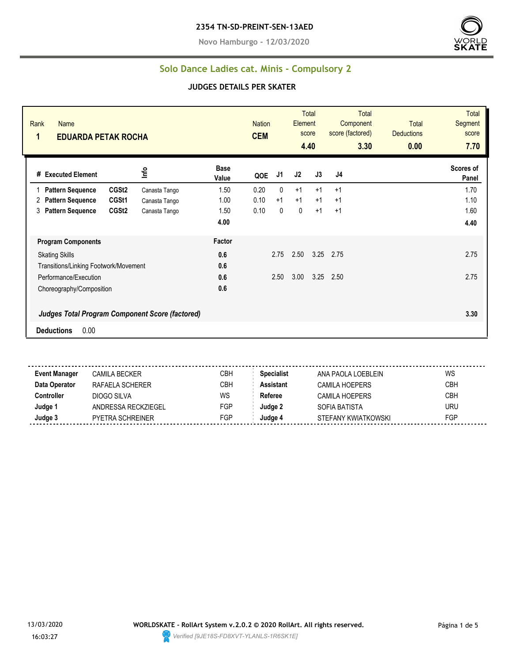**Novo Hamburgo - 12/03/2020**



#### **Solo Dance Ladies cat. Minis - Compulsory 2**

#### **JUDGES DETAILS PER SKATER**

| Rank<br><b>Name</b><br>1<br><b>EDUARDA PETAK ROCHA</b> |                                                        |                      | <b>Nation</b><br><b>CEM</b> |              | Element | <b>Total</b><br>score<br>4.40 | <b>Total</b><br>Component<br>score (factored)<br>3.30 | <b>Total</b><br><b>Deductions</b><br>0.00 | <b>Total</b><br>Segment<br>score<br>7.70 |
|--------------------------------------------------------|--------------------------------------------------------|----------------------|-----------------------------|--------------|---------|-------------------------------|-------------------------------------------------------|-------------------------------------------|------------------------------------------|
| # Executed Element                                     | ١۴e                                                    | <b>Base</b><br>Value | QOE                         | J1           | J2      | J3                            | J4                                                    |                                           | Scores of<br>Panel                       |
| <b>Pattern Sequence</b>                                | CGSt2<br>Canasta Tango                                 | 1.50                 | 0.20                        | $\mathbf{0}$ | $+1$    | $+1$                          | $+1$                                                  |                                           | 1.70                                     |
| <b>Pattern Sequence</b><br>2                           | CGSt1<br>Canasta Tango                                 | 1.00                 | 0.10                        | $+1$         | $+1$    | $+1$                          | $+1$                                                  |                                           | 1.10                                     |
| <b>Pattern Sequence</b><br>3                           | CGSt <sub>2</sub><br>Canasta Tango                     | 1.50                 | 0.10                        | 0            | 0       | $+1$                          | $+1$                                                  |                                           | 1.60                                     |
|                                                        |                                                        | 4.00                 |                             |              |         |                               |                                                       |                                           | 4.40                                     |
| <b>Program Components</b>                              |                                                        | Factor               |                             |              |         |                               |                                                       |                                           |                                          |
| <b>Skating Skills</b>                                  |                                                        | 0.6                  |                             | 2.75         | 2.50    | 3.25                          | 2.75                                                  |                                           | 2.75                                     |
| Transitions/Linking Footwork/Movement                  |                                                        | 0.6                  |                             |              |         |                               |                                                       |                                           |                                          |
| Performance/Execution                                  |                                                        | 0.6                  |                             | 2.50         | 3.00    | 3.25                          | 2.50                                                  |                                           | 2.75                                     |
| Choreography/Composition                               |                                                        | 0.6                  |                             |              |         |                               |                                                       |                                           |                                          |
|                                                        | <b>Judges Total Program Component Score (factored)</b> |                      |                             |              |         |                               |                                                       |                                           | 3.30                                     |
| 0.00<br><b>Deductions</b>                              |                                                        |                      |                             |              |         |                               |                                                       |                                           |                                          |

**Event Manager** CAMILA BECKER CBH **Specialist** ANA PAOLA LOEBLEIN WS **Data Operator** RAFAELA SCHERER CBH **Assistant** CAMILA HOEPERS CBH **Controller** DIOGO SILVA WS Referee CAMILA HOEPERS CBH **Judge 1** ANDRESSA RECKZIEGEL FGP **Judge 2** SOFIA BATISTA URU **Judge 3** PYETRA SCHREINER FGP **Judge 4** STEFANY KWIATKOWSKI FGP

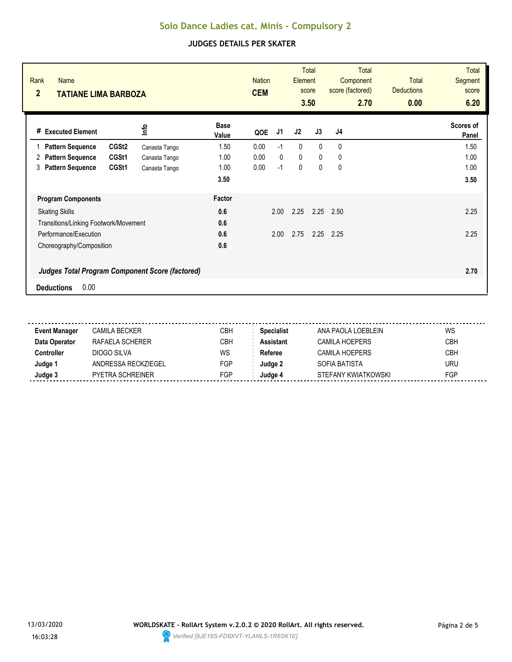| Rank<br><b>Name</b><br>$\overline{2}$<br>TATIANE LIMA BARBOZA |               |                      | <b>Nation</b><br><b>CEM</b> |              | Element      | <b>Total</b><br>score<br>3.50 | <b>Total</b><br>Component<br>score (factored)<br>2.70 | <b>Total</b><br><b>Deductions</b><br>0.00 | <b>Total</b><br><b>Segment</b><br>score<br>6.20 |
|---------------------------------------------------------------|---------------|----------------------|-----------------------------|--------------|--------------|-------------------------------|-------------------------------------------------------|-------------------------------------------|-------------------------------------------------|
| # Executed Element                                            | lnfo          | <b>Base</b><br>Value | QOE                         | J1           | J2           | J3                            | J <sub>4</sub>                                        |                                           | Scores of<br>Panel                              |
| CGSt <sub>2</sub><br><b>Pattern Sequence</b>                  | Canasta Tango | 1.50                 | 0.00                        | $-1$         | $\mathbf{0}$ | $\Omega$                      | 0                                                     |                                           | 1.50                                            |
| CGSt1<br><b>Pattern Sequence</b><br>2                         | Canasta Tango | 1.00                 | 0.00                        | $\mathbf{0}$ | $\mathbf 0$  | $\mathbf{0}$                  | 0                                                     |                                           | 1.00                                            |
| <b>Pattern Sequence</b><br>CGSt1<br>3                         | Canasta Tango | 1.00                 | 0.00                        | $-1$         | 0            | 0                             | 0                                                     |                                           | 1.00                                            |
|                                                               |               | 3.50                 |                             |              |              |                               |                                                       |                                           | 3.50                                            |
| <b>Program Components</b>                                     |               | Factor               |                             |              |              |                               |                                                       |                                           |                                                 |
| <b>Skating Skills</b>                                         |               | 0.6                  |                             | 2.00         | 2.25         | 2.25                          | 2.50                                                  |                                           | 2.25                                            |
| Transitions/Linking Footwork/Movement                         |               | 0.6                  |                             |              |              |                               |                                                       |                                           |                                                 |
| Performance/Execution                                         |               | 0.6                  |                             | 2.00         | 2.75         | 2.25                          | 2.25                                                  |                                           | 2.25                                            |
| Choreography/Composition                                      |               | 0.6                  |                             |              |              |                               |                                                       |                                           |                                                 |
| <b>Judges Total Program Component Score (factored)</b>        |               |                      |                             |              |              |                               |                                                       |                                           | 2.70                                            |
| 0.00<br><b>Deductions</b>                                     |               |                      |                             |              |              |                               |                                                       |                                           |                                                 |

| <b>Event Manager</b> | CAMILA BECKER       | СВН        | <b>Specialist</b> | ANA PAOLA LOFBLEIN    | WS         |
|----------------------|---------------------|------------|-------------------|-----------------------|------------|
| Data Operator        | RAFAFI A SCHFRFR    | <b>CBH</b> | Assistant         | <b>CAMILA HOEPFRS</b> | <b>CBH</b> |
| Controller:          | DIOGO SILVA         | WS         | Referee           | CAMILA HOEPERS        | <b>CBH</b> |
| Judge '              | ANDRESSA RECKZIEGEL | FGP        | Judae 2           | SOFIA BATISTA         | <b>URU</b> |
| Judge 3              | PYETRA SCHREINER    | FGP        | Judae 4           | STEFANY KWIATKOWSKI   | FGP        |
|                      |                     |            |                   |                       |            |

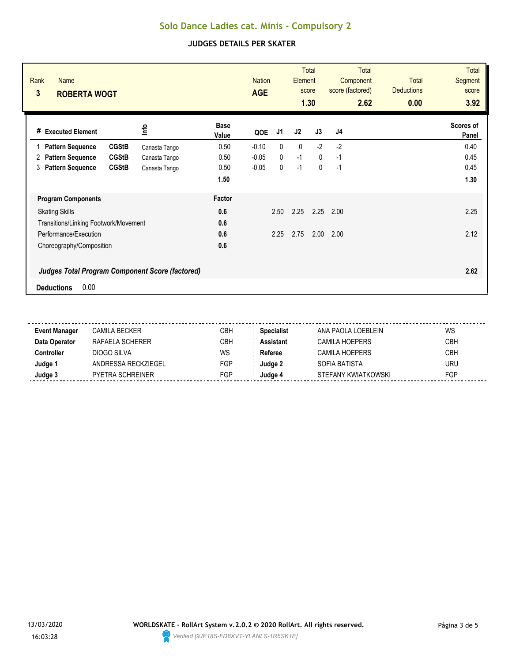| Rank<br><b>Name</b><br>3<br><b>ROBERTA WOGT</b>                                     |               |                      | <b>Nation</b><br><b>AGE</b> |              | Element     | <b>Total</b><br>score<br>1.30 | <b>Total</b><br>Component<br>score (factored)<br>2.62 | Total<br><b>Deductions</b><br>0.00 | <b>Total</b><br><b>Segment</b><br>score<br>3.92 |
|-------------------------------------------------------------------------------------|---------------|----------------------|-----------------------------|--------------|-------------|-------------------------------|-------------------------------------------------------|------------------------------------|-------------------------------------------------|
| # Executed Element                                                                  | <u>lnfo</u>   | <b>Base</b><br>Value | QOE                         | J1           | J2          | J3                            | J4                                                    |                                    | Scores of<br>Panel                              |
| <b>CGStB</b><br><b>Pattern Sequence</b>                                             | Canasta Tango | 0.50                 | $-0.10$                     | 0            | $\mathbf 0$ | $-2$                          | $-2$                                                  |                                    | 0.40                                            |
| <b>CGStB</b><br><b>Pattern Sequence</b><br>2                                        | Canasta Tango | 0.50                 | $-0.05$                     | $\mathbf{0}$ | $-1$        | $\mathbf{0}$                  | $-1$                                                  |                                    | 0.45                                            |
| <b>CGStB</b><br><b>Pattern Sequence</b><br>3                                        | Canasta Tango | 0.50                 | $-0.05$                     | 0            | $-1$        | $\mathbf 0$                   | $-1$                                                  |                                    | 0.45                                            |
|                                                                                     |               | 1.50                 |                             |              |             |                               |                                                       |                                    | 1.30                                            |
| <b>Program Components</b>                                                           |               | Factor               |                             |              |             |                               |                                                       |                                    |                                                 |
| <b>Skating Skills</b>                                                               |               | 0.6                  |                             | 2.50         | 2.25        | 2.25                          | 2.00                                                  |                                    | 2.25                                            |
| Transitions/Linking Footwork/Movement                                               |               | 0.6                  |                             |              |             |                               |                                                       |                                    |                                                 |
| Performance/Execution                                                               |               | 0.6                  |                             | 2.25         | 2.75        | 2.00                          | 2.00                                                  |                                    | 2.12                                            |
| Choreography/Composition                                                            |               | 0.6                  |                             |              |             |                               |                                                       |                                    |                                                 |
| <b>Judges Total Program Component Score (factored)</b><br>0.00<br><b>Deductions</b> |               |                      |                             |              |             |                               |                                                       |                                    | 2.62                                            |

| Event Manager | CAMILA BECKER           | CBH | <b>Specialist</b> | ANA PAOLA LOEBLEIN  | WS         |
|---------------|-------------------------|-----|-------------------|---------------------|------------|
| Data Operator | RAFAFI A SCHFRFR        | CBH | <b>Assistant</b>  | CAMILA HOEPFRS      | <b>CBH</b> |
| Controller    | DIOGO SILVA             | WS  | Referee           | CAMILA HOEPERS      | <b>CBH</b> |
| Judge 1       | ANDRESSA RECKZIEGEL     | FGP | Judge 2           | SOFIA BATISTA       | URU        |
| Judge 3       | <b>PYETRA SCHREINER</b> | FGP | Judge 4           | STEFANY KWIATKOWSKI | FGP        |
|               |                         |     |                   |                     |            |

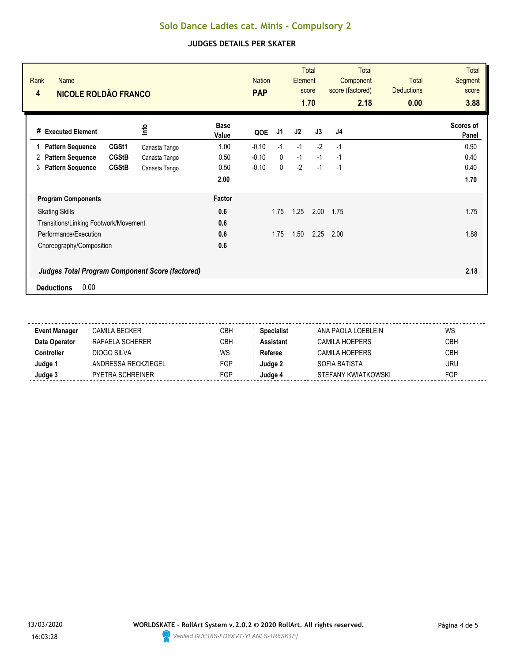| Rank<br><b>Name</b><br>NICOLE ROLDÃO FRANCO<br>4       |               |                      | <b>Nation</b><br><b>PAP</b> |              | Element | <b>Total</b><br>score<br>1.70 | Total<br>Component<br>score (factored)<br>2.18 | <b>Total</b><br><b>Deductions</b><br>0.00 | <b>Total</b><br><b>Segment</b><br>score<br>3.88 |
|--------------------------------------------------------|---------------|----------------------|-----------------------------|--------------|---------|-------------------------------|------------------------------------------------|-------------------------------------------|-------------------------------------------------|
| <b>Executed Element</b><br>#                           | lnfo          | <b>Base</b><br>Value | QOE                         | J1           | J2      | J3                            | J4                                             |                                           | Scores of<br>Panel                              |
| CGSt1<br><b>Pattern Sequence</b>                       | Canasta Tango | 1.00                 | $-0.10$                     | $-1$         | $-1$    | $-2$                          | $-1$                                           |                                           | 0.90                                            |
| <b>CGStB</b><br><b>Pattern Sequence</b><br>2           | Canasta Tango | 0.50                 | $-0.10$                     | $\mathbf{0}$ | $-1$    | $-1$                          | $-1$                                           |                                           | 0.40                                            |
| <b>Pattern Sequence</b><br><b>CGStB</b><br>3           | Canasta Tango | 0.50                 | $-0.10$                     | 0            | $-2$    | $-1$                          | $-1$                                           |                                           | 0.40                                            |
|                                                        |               | 2.00                 |                             |              |         |                               |                                                |                                           | 1.70                                            |
| <b>Program Components</b>                              |               | Factor               |                             |              |         |                               |                                                |                                           |                                                 |
| <b>Skating Skills</b>                                  |               | 0.6                  |                             | 1.75         | 1.25    | 2.00                          | 1.75                                           |                                           | 1.75                                            |
| Transitions/Linking Footwork/Movement                  |               | 0.6                  |                             |              |         |                               |                                                |                                           |                                                 |
| Performance/Execution                                  |               | 0.6                  |                             | 1.75         | 1.50    | 2.25                          | 2.00                                           |                                           | 1.88                                            |
| Choreography/Composition                               |               | 0.6                  |                             |              |         |                               |                                                |                                           |                                                 |
| <b>Judges Total Program Component Score (factored)</b> |               |                      |                             |              |         |                               |                                                |                                           | 2.18                                            |
| 0.00<br><b>Deductions</b>                              |               |                      |                             |              |         |                               |                                                |                                           |                                                 |

| <b>Event Manager</b> | CAMILA BECKER           | CBH | Specialist       | ANA PAOLA LOEBLEIN  | WS         |
|----------------------|-------------------------|-----|------------------|---------------------|------------|
| Data Operator        | RAFAFI A SCHFRFR        | CBH | <b>Assistant</b> | CAMILA HOEPERS      | <b>CBH</b> |
| Controller           | DIOGO SILVA             | WS  | Referee          | CAMILA HOEPERS      | <b>CBH</b> |
| Judge 1              | ANDRESSA RECKZIEGEL     | FGP | Judae 2          | SOFIA BATISTA       | <b>URU</b> |
| Judge 3              | <b>PYETRA SCHREINER</b> | FGP | Judae 4          | STEFANY KWIATKOWSKI | FGP        |
|                      |                         |     |                  |                     |            |